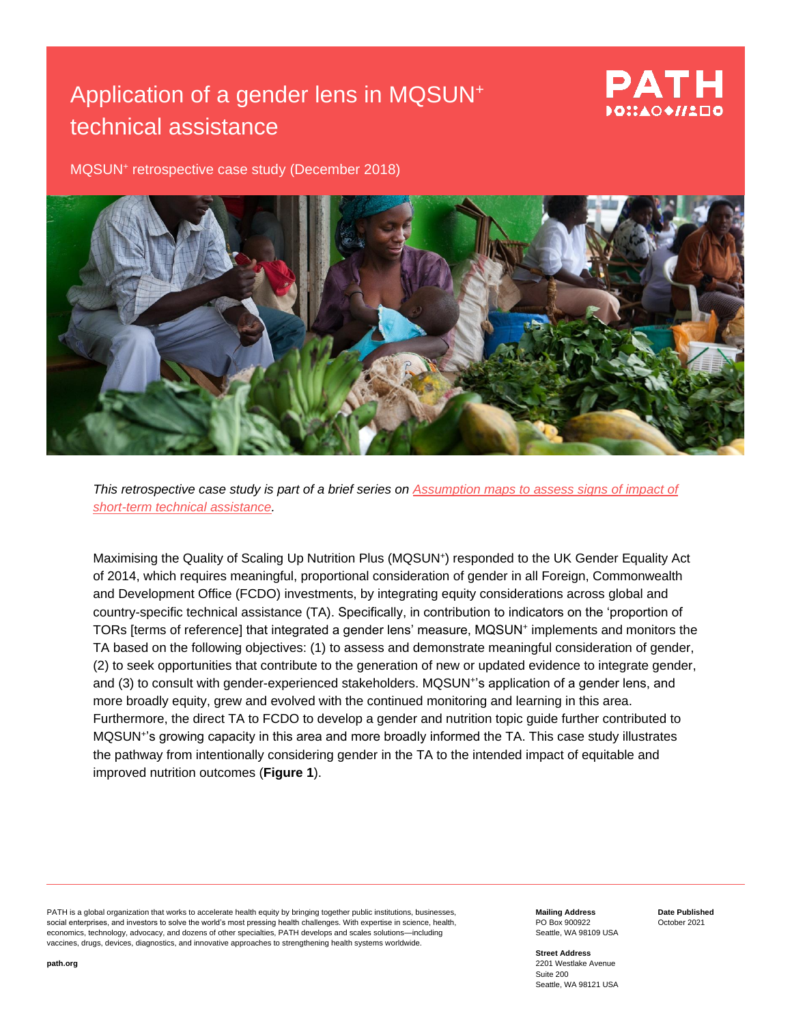# Application of a gender lens in MQSUN<sup>+</sup> technical assistance

## PATH DO∷AO♦//1□O

MQSUN<sup>+</sup> retrospective case study (December 2018)



*This retrospective case study is part of a brief series on [Assumption maps to assess signs of](https://mqsunplus.path.org/resources/assumption-maps-to-assess-the-impact-of-short-term-technical-assistance/) impact of [short-term technical assistance.](https://mqsunplus.path.org/resources/assumption-maps-to-assess-the-impact-of-short-term-technical-assistance/)*

Maximising the Quality of Scaling Up Nutrition Plus (MQSUN<sup>+</sup>) responded to the UK Gender Equality Act of 2014, which requires meaningful, proportional consideration of gender in all Foreign, Commonwealth and Development Office (FCDO) investments, by integrating equity considerations across global and country-specific technical assistance (TA). Specifically, in contribution to indicators on the 'proportion of TORs [terms of reference] that integrated a gender lens' measure, MQSUN<sup>+</sup> implements and monitors the TA based on the following objectives: (1) to assess and demonstrate meaningful consideration of gender, (2) to seek opportunities that contribute to the generation of new or updated evidence to integrate gender, and (3) to consult with gender-experienced stakeholders. MQSUN<sup>+</sup>'s application of a gender lens, and more broadly equity, grew and evolved with the continued monitoring and learning in this area. Furthermore, the direct TA to FCDO to develop a gender and nutrition topic guide further contributed to MQSUN<sup>+</sup> 's growing capacity in this area and more broadly informed the TA. This case study illustrates the pathway from intentionally considering gender in the TA to the intended impact of equitable and improved nutrition outcomes (**Figure 1**).

PATH is a global organization that works to accelerate health equity by bringing together public institutions, businesses, social enterprises, and investors to solve the world's most pressing health challenges. With expertise in science, health, economics, technology, advocacy, and dozens of other specialties, PATH develops and scales solutions—including vaccines, drugs, devices, diagnostics, and innovative approaches to strengthening health systems worldwide.

**Mailing Address** PO Box 900922 Seattle, WA 98109 USA **Date Published** October 2021

**Street Address** 2201 Westlake Avenue Suite 200 Seattle, WA 98121 USA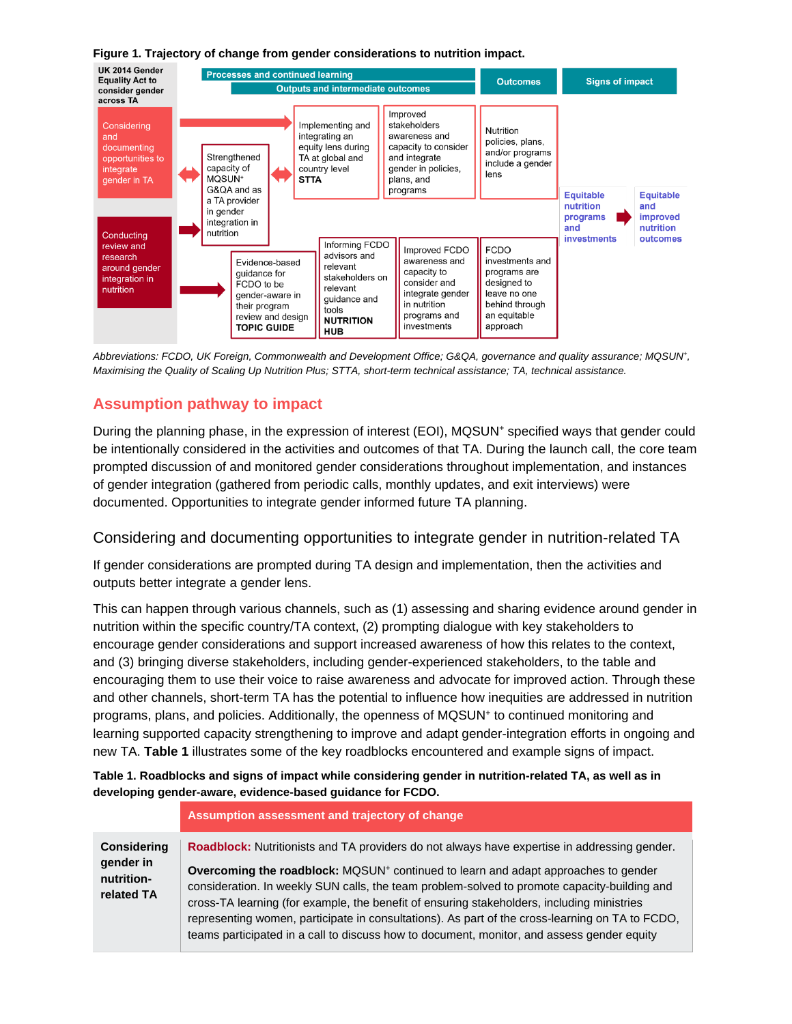**Figure 1. Trajectory of change from gender considerations to nutrition impact.**



*Abbreviations: FCDO, UK Foreign, Commonwealth and Development Office; G&QA, governance and quality assurance; MQSUN<sup>+</sup> , Maximising the Quality of Scaling Up Nutrition Plus; STTA, short-term technical assistance; TA, technical assistance.*

## **Assumption pathway to impact**

During the planning phase, in the expression of interest (EOI), MQSUN<sup>+</sup> specified ways that gender could be intentionally considered in the activities and outcomes of that TA. During the launch call, the core team prompted discussion of and monitored gender considerations throughout implementation, and instances of gender integration (gathered from periodic calls, monthly updates, and exit interviews) were documented. Opportunities to integrate gender informed future TA planning.

### Considering and documenting opportunities to integrate gender in nutrition-related TA

If gender considerations are prompted during TA design and implementation, then the activities and outputs better integrate a gender lens.

This can happen through various channels, such as (1) assessing and sharing evidence around gender in nutrition within the specific country/TA context, (2) prompting dialogue with key stakeholders to encourage gender considerations and support increased awareness of how this relates to the context, and (3) bringing diverse stakeholders, including gender-experienced stakeholders, to the table and encouraging them to use their voice to raise awareness and advocate for improved action. Through these and other channels, short-term TA has the potential to influence how inequities are addressed in nutrition programs, plans, and policies. Additionally, the openness of MQSUN<sup>+</sup> to continued monitoring and learning supported capacity strengthening to improve and adapt gender-integration efforts in ongoing and new TA. **Table 1** illustrates some of the key roadblocks encountered and example signs of impact.

**Table 1. Roadblocks and signs of impact while considering gender in nutrition-related TA, as well as in developing gender-aware, evidence-based guidance for FCDO.**

**Assumption assessment and trajectory of change**

**Considering gender in nutritionrelated TA Roadblock:** Nutritionists and TA providers do not always have expertise in addressing gender. **Overcoming the roadblock:** MQSUN<sup>+</sup> continued to learn and adapt approaches to gender consideration. In weekly SUN calls, the team problem-solved to promote capacity-building and cross-TA learning (for example, the benefit of ensuring stakeholders, including ministries representing women, participate in consultations). As part of the cross-learning on TA to FCDO, teams participated in a call to discuss how to document, monitor, and assess gender equity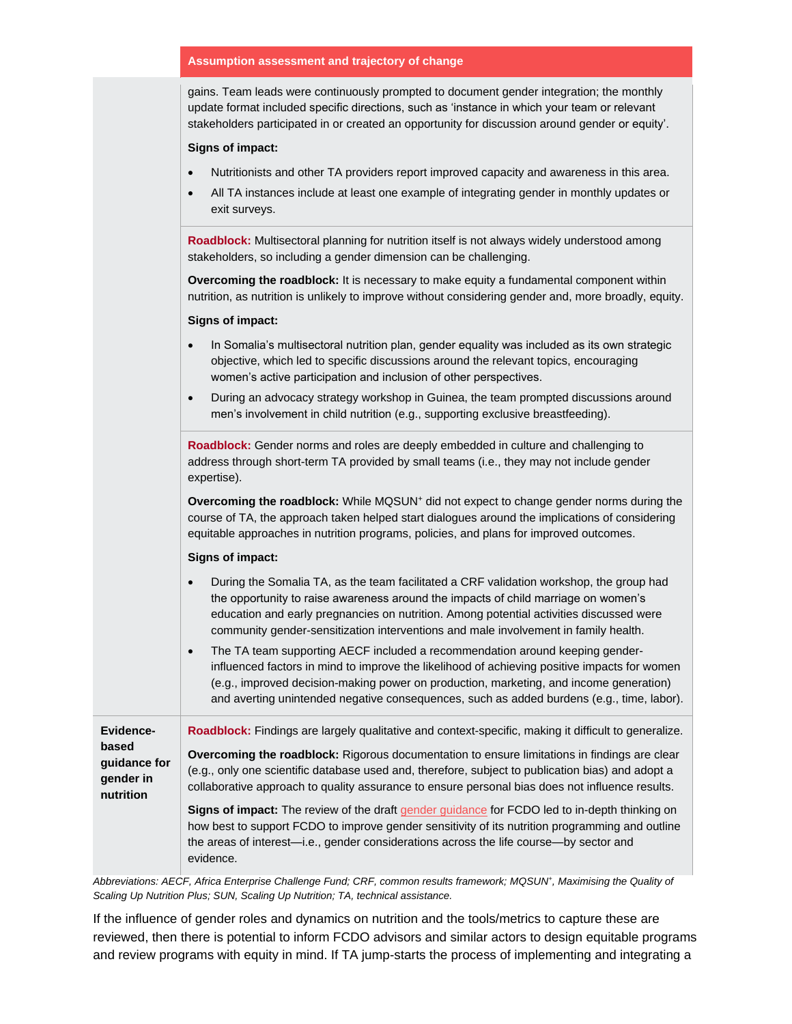#### **Assumption assessment and trajectory of change**

gains. Team leads were continuously prompted to document gender integration; the monthly update format included specific directions, such as 'instance in which your team or relevant stakeholders participated in or created an opportunity for discussion around gender or equity'.

#### **Signs of impact:**

- Nutritionists and other TA providers report improved capacity and awareness in this area.
- All TA instances include at least one example of integrating gender in monthly updates or exit surveys.

**Roadblock:** Multisectoral planning for nutrition itself is not always widely understood among stakeholders, so including a gender dimension can be challenging.

**Overcoming the roadblock:** It is necessary to make equity a fundamental component within nutrition, as nutrition is unlikely to improve without considering gender and, more broadly, equity.

#### **Signs of impact:**

- In Somalia's multisectoral nutrition plan, gender equality was included as its own strategic objective, which led to specific discussions around the relevant topics, encouraging women's active participation and inclusion of other perspectives.
- During an advocacy strategy workshop in Guinea, the team prompted discussions around men's involvement in child nutrition (e.g., supporting exclusive breastfeeding).

**Roadblock:** Gender norms and roles are deeply embedded in culture and challenging to address through short-term TA provided by small teams (i.e., they may not include gender expertise).

**Overcoming the roadblock:** While MQSUN<sup>+</sup> did not expect to change gender norms during the course of TA, the approach taken helped start dialogues around the implications of considering equitable approaches in nutrition programs, policies, and plans for improved outcomes.

#### **Signs of impact:**

- During the Somalia TA, as the team facilitated a CRF validation workshop, the group had the opportunity to raise awareness around the impacts of child marriage on women's education and early pregnancies on nutrition. Among potential activities discussed were community gender-sensitization interventions and male involvement in family health.
- The TA team supporting AECF included a recommendation around keeping genderinfluenced factors in mind to improve the likelihood of achieving positive impacts for women (e.g., improved decision-making power on production, marketing, and income generation) and averting unintended negative consequences, such as added burdens (e.g., time, labor).

**Evidencebased guidance for gender in nutrition**

**Overcoming the roadblock:** Rigorous documentation to ensure limitations in findings are clear (e.g., only one scientific database used and, therefore, subject to publication bias) and adopt a

collaborative approach to quality assurance to ensure personal bias does not influence results.

**Roadblock:** Findings are largely qualitative and context-specific, making it difficult to generalize.

**Signs of impact:** The review of the draft [gender guidance](https://mqsunplus.path.org/resources/gender-guidance-for-nutrition-related-programmes/) for FCDO led to in-depth thinking on how best to support FCDO to improve gender sensitivity of its nutrition programming and outline the areas of interest—i.e., gender considerations across the life course—by sector and evidence.

*Abbreviations: AECF, Africa Enterprise Challenge Fund; CRF, common results framework; MQSUN<sup>+</sup> , Maximising the Quality of Scaling Up Nutrition Plus; SUN, Scaling Up Nutrition; TA, technical assistance.*

If the influence of gender roles and dynamics on nutrition and the tools/metrics to capture these are reviewed, then there is potential to inform FCDO advisors and similar actors to design equitable programs and review programs with equity in mind. If TA jump-starts the process of implementing and integrating a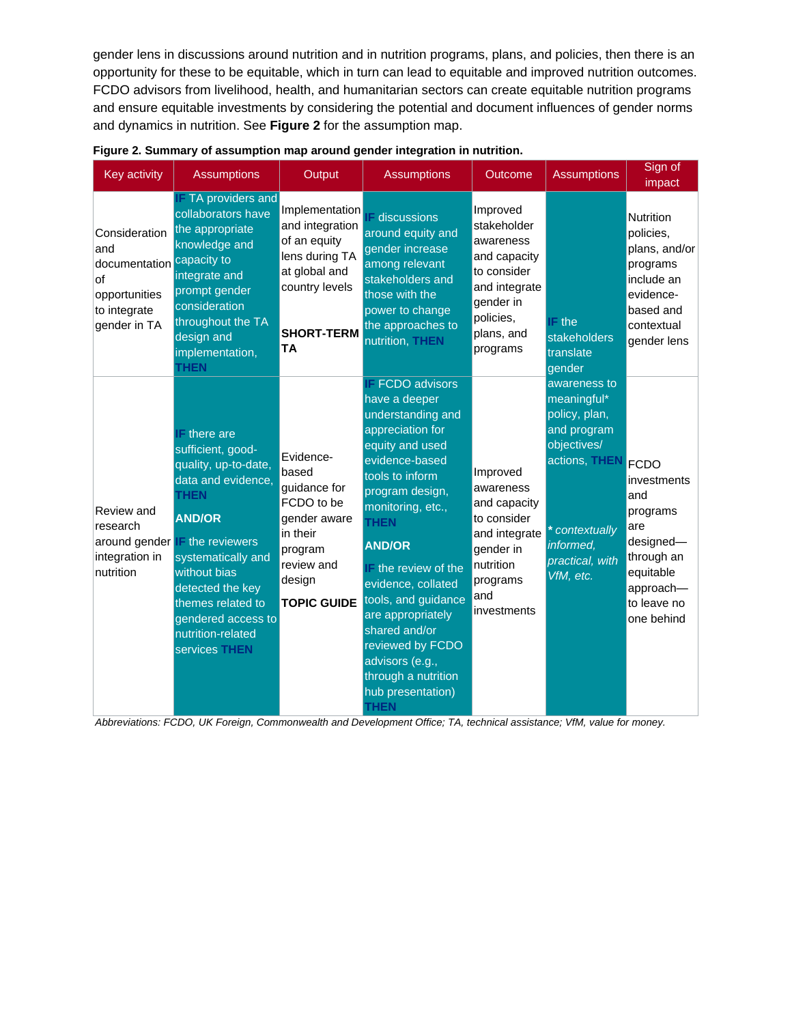gender lens in discussions around nutrition and in nutrition programs, plans, and policies, then there is an opportunity for these to be equitable, which in turn can lead to equitable and improved nutrition outcomes. FCDO advisors from livelihood, health, and humanitarian sectors can create equitable nutrition programs and ensure equitable investments by considering the potential and document influences of gender norms and dynamics in nutrition. See **Figure 2** for the assumption map.

| <b>Key activity</b>                                                                           | <b>Assumptions</b>                                                                                                                                                                                                                                                                                          | Output                                                                                                                                   | <b>Assumptions</b>                                                                                                                                                                                                                                                                                                                                                                                                             | Outcome                                                                                                                                  | <b>Assumptions</b>                                                                                                                                                                                           | Sign of<br>impact                                                                                                                       |
|-----------------------------------------------------------------------------------------------|-------------------------------------------------------------------------------------------------------------------------------------------------------------------------------------------------------------------------------------------------------------------------------------------------------------|------------------------------------------------------------------------------------------------------------------------------------------|--------------------------------------------------------------------------------------------------------------------------------------------------------------------------------------------------------------------------------------------------------------------------------------------------------------------------------------------------------------------------------------------------------------------------------|------------------------------------------------------------------------------------------------------------------------------------------|--------------------------------------------------------------------------------------------------------------------------------------------------------------------------------------------------------------|-----------------------------------------------------------------------------------------------------------------------------------------|
| Consideration<br>and<br>documentation<br>lof<br>opportunities<br>to integrate<br>gender in TA | <b>IF TA providers and</b><br>collaborators have<br>the appropriate<br>knowledge and<br>capacity to<br>integrate and<br>prompt gender<br>consideration<br>throughout the TA<br>design and<br>implementation,<br><b>THEN</b>                                                                                 | Implementation<br>and integration<br>of an equity<br>lens during TA<br>at global and<br>country levels<br><b>SHORT-TERM</b><br><b>TA</b> | <b>IF</b> discussions<br>around equity and<br>gender increase<br>among relevant<br>stakeholders and<br>those with the<br>power to change<br>the approaches to<br>nutrition, THEN                                                                                                                                                                                                                                               | Improved<br>stakeholder<br>awareness<br>and capacity<br>to consider<br>and integrate<br>gender in<br>policies,<br>plans, and<br>programs | $E$ the<br>stakeholders<br>translate<br>gender<br>awareness to<br>meaningful*<br>policy, plan,<br>and program<br>objectives/<br>actions, THEN<br>* contextually<br>informed,<br>practical, with<br>VfM, etc. | Nutrition<br>policies,<br>plans, and/or<br>programs<br>include an<br>evidence-<br>based and<br>contextual<br>gender lens                |
| Review and<br>research<br>integration in<br>nutrition                                         | $F$ there are<br>sufficient, good-<br>quality, up-to-date,<br>data and evidence,<br><b>THEN</b><br><b>AND/OR</b><br>around gender <b>IF</b> the reviewers<br>systematically and<br>without bias<br>detected the key<br>themes related to<br>gendered access to<br>nutrition-related<br><b>services THEN</b> | Evidence-<br>based<br>guidance for<br>FCDO to be<br>gender aware<br>in their<br>program<br>review and<br>design<br><b>TOPIC GUIDE</b>    | <b>IF FCDO advisors</b><br>have a deeper<br>understanding and<br>appreciation for<br>equity and used<br>evidence-based<br>tools to inform<br>program design,<br>monitoring, etc.,<br><b>THEN</b><br><b>AND/OR</b><br>IF the review of the<br>evidence, collated<br>tools, and guidance<br>are appropriately<br>shared and/or<br>reviewed by FCDO<br>advisors (e.g.,<br>through a nutrition<br>hub presentation)<br><b>THEN</b> | Improved<br>awareness<br>and capacity<br>to consider<br>and integrate<br>gender in<br>nutrition<br>programs<br>and<br>investments        |                                                                                                                                                                                                              | <b>FCDO</b><br>investments<br>land<br>programs<br>are<br>designed-<br>through an<br>equitable<br>approach-<br>to leave no<br>one behind |

| Figure 2. Summary of assumption map around gender integration in nutrition. |  |  |
|-----------------------------------------------------------------------------|--|--|
|                                                                             |  |  |
|                                                                             |  |  |

*Abbreviations: FCDO, UK Foreign, Commonwealth and Development Office; TA, technical assistance; VfM, value for money.*